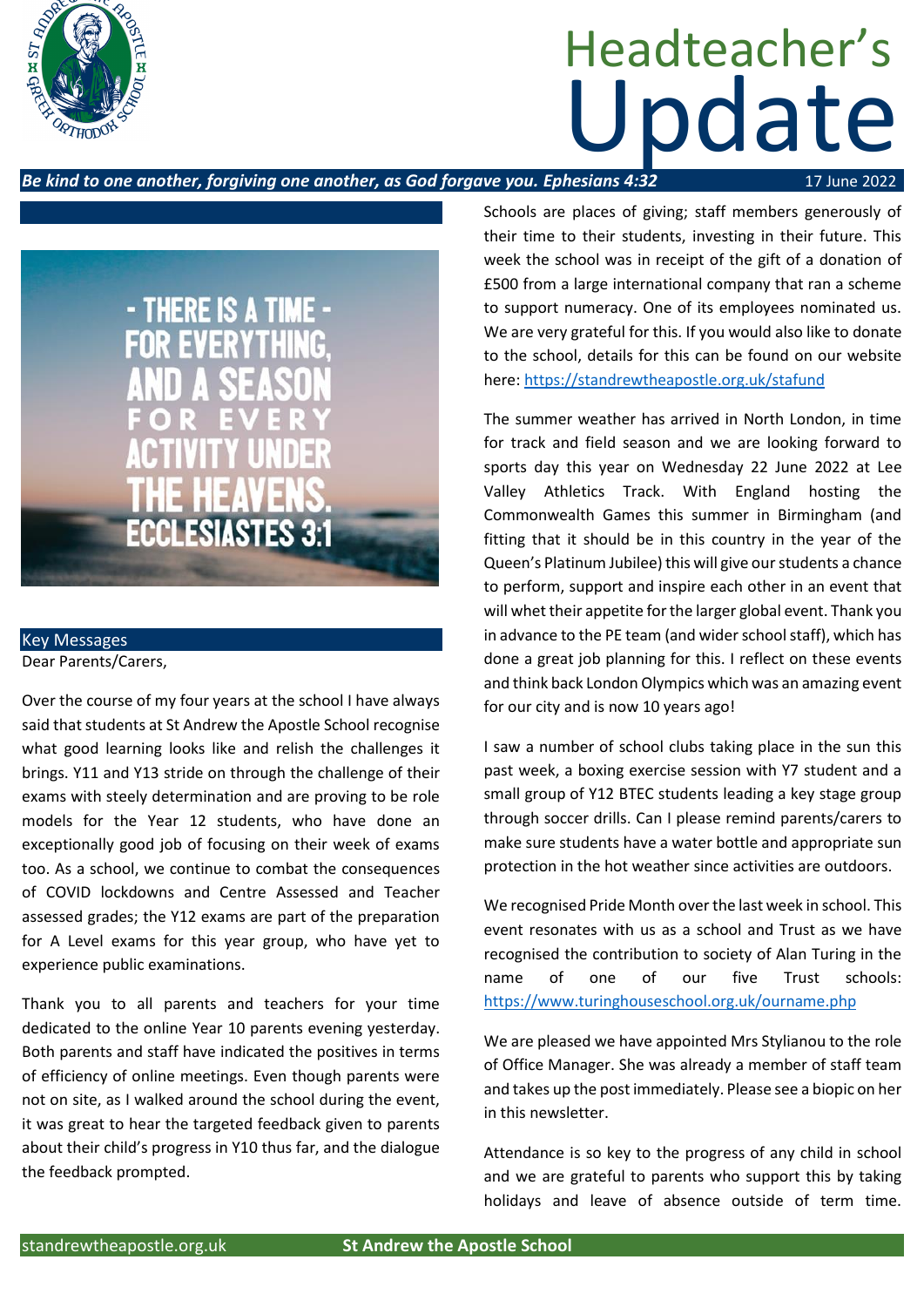

# Update Headteacher's

### **Be kind to one another, forgiving one another, as God forgave you. Ephesians 4:32** 17 June 2022



Key Messages Dear Parents/Carers,

Over the course of my four years at the school I have always said that students at St Andrew the Apostle School recognise what good learning looks like and relish the challenges it brings. Y11 and Y13 stride on through the challenge of their exams with steely determination and are proving to be role models for the Year 12 students, who have done an exceptionally good job of focusing on their week of exams too. As a school, we continue to combat the consequences of COVID lockdowns and Centre Assessed and Teacher assessed grades; the Y12 exams are part of the preparation for A Level exams for this year group, who have yet to experience public examinations.

Thank you to all parents and teachers for your time dedicated to the online Year 10 parents evening yesterday. Both parents and staff have indicated the positives in terms of efficiency of online meetings. Even though parents were not on site, as I walked around the school during the event, it was great to hear the targeted feedback given to parents about their child's progress in Y10 thus far, and the dialogue the feedback prompted.

Schools are places of giving; staff members generously of their time to their students, investing in their future. This week the school was in receipt of the gift of a donation of £500 from a large international company that ran a scheme to support numeracy. One of its employees nominated us. We are very grateful for this. If you would also like to donate to the school, details for this can be found on our website here: <https://standrewtheapostle.org.uk/stafund>

The summer weather has arrived in North London, in time for track and field season and we are looking forward to sports day this year on Wednesday 22 June 2022 at Lee Valley Athletics Track. With England hosting the Commonwealth Games this summer in Birmingham (and fitting that it should be in this country in the year of the Queen's Platinum Jubilee) this will give our students a chance to perform, support and inspire each other in an event that will whet their appetite for the larger global event. Thank you in advance to the PE team (and wider school staff), which has done a great job planning for this. I reflect on these events and think back London Olympics which was an amazing event for our city and is now 10 years ago!

I saw a number of school clubs taking place in the sun this past week, a boxing exercise session with Y7 student and a small group of Y12 BTEC students leading a key stage group through soccer drills. Can I please remind parents/carers to make sure students have a water bottle and appropriate sun protection in the hot weather since activities are outdoors.

We recognised Pride Month over the last week in school. This event resonates with us as a school and Trust as we have recognised the contribution to society of Alan Turing in the name of one of our five Trust schools: <https://www.turinghouseschool.org.uk/ourname.php>

We are pleased we have appointed Mrs Stylianou to the role of Office Manager. She was already a member of staff team and takes up the post immediately. Please see a biopic on her in this newsletter.

Attendance is so key to the progress of any child in school and we are grateful to parents who support this by taking holidays and leave of absence outside of term time.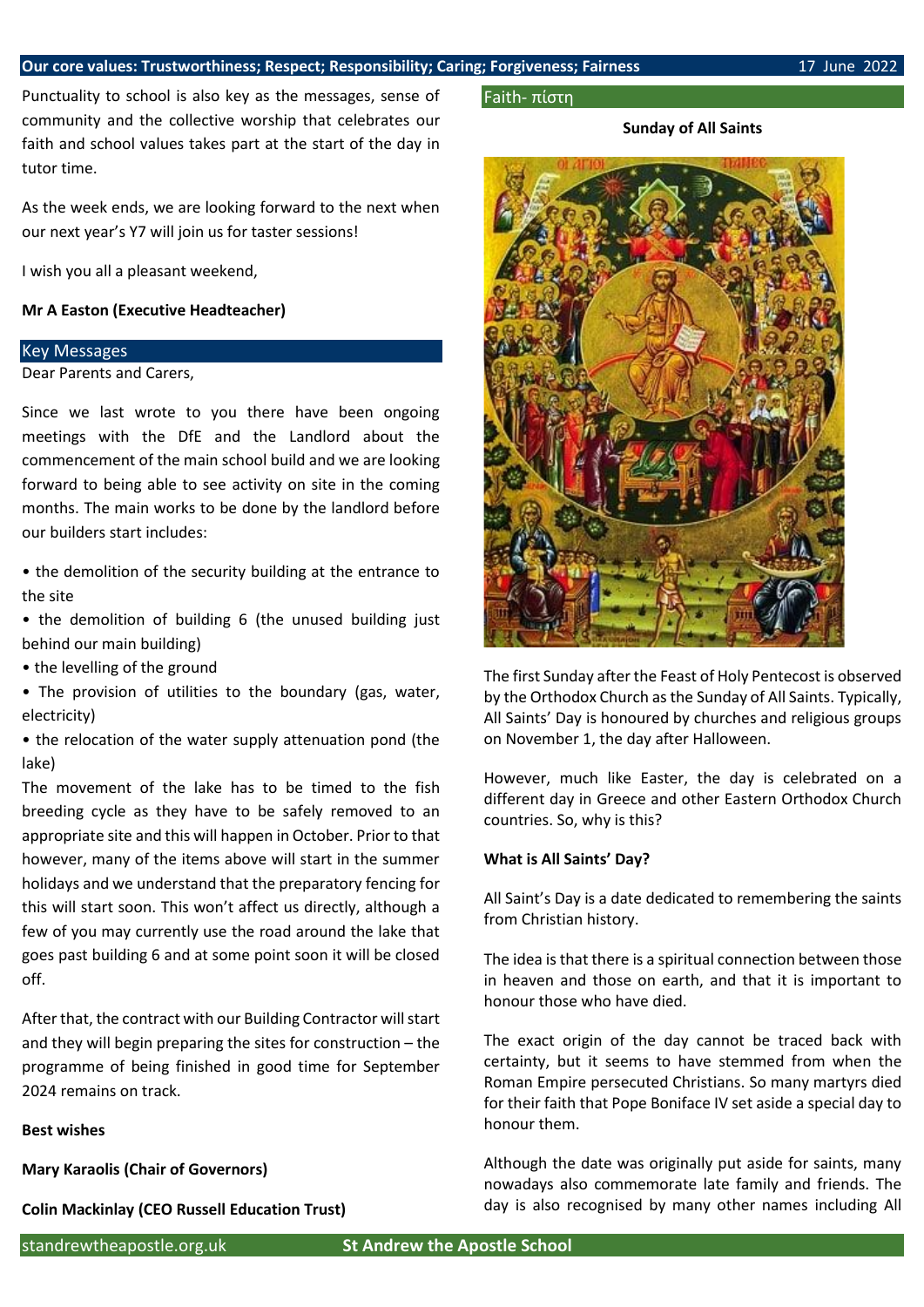Punctuality to school is also key as the messages, sense of community and the collective worship that celebrates our faith and school values takes part at the start of the day in tutor time.

As the week ends, we are looking forward to the next when our next year's Y7 will join us for taster sessions!

I wish you all a pleasant weekend,

#### **Mr A Easton (Executive Headteacher)**

#### Key Messages

Dear Parents and Carers,

Since we last wrote to you there have been ongoing meetings with the DfE and the Landlord about the commencement of the main school build and we are looking forward to being able to see activity on site in the coming months. The main works to be done by the landlord before our builders start includes:

• the demolition of the security building at the entrance to the site

• the demolition of building 6 (the unused building just behind our main building)

• the levelling of the ground

• The provision of utilities to the boundary (gas, water, electricity)

• the relocation of the water supply attenuation pond (the lake)

The movement of the lake has to be timed to the fish breeding cycle as they have to be safely removed to an appropriate site and this will happen in October. Prior to that however, many of the items above will start in the summer holidays and we understand that the preparatory fencing for this will start soon. This won't affect us directly, although a few of you may currently use the road around the lake that goes past building 6 and at some point soon it will be closed off.

After that, the contract with our Building Contractor will start and they will begin preparing the sites for construction – the programme of being finished in good time for September 2024 remains on track.

#### **Best wishes**

**Mary Karaolis (Chair of Governors)**

**Colin Mackinlay (CEO Russell Education Trust)**

#### Faith- πίστη

#### **Sunday of All Saints**



The first Sunday after the Feast of Holy Pentecost is observed by the Orthodox Church as the Sunday of All Saints. Typically, All Saints' Day is honoured by churches and religious groups on November 1, the day after Halloween.

However, much like Easter, the day is celebrated on a different day in Greece and other Eastern Orthodox Church countries. So, why is this?

#### **What is All Saints' Day?**

All Saint's Day is a date dedicated to remembering the saints from Christian history.

The idea is that there is a spiritual connection between those in heaven and those on earth, and that it is important to honour those who have died.

The exact origin of the day cannot be traced back with certainty, but it seems to have stemmed from when the Roman Empire persecuted Christians. So many martyrs died for their faith that Pope Boniface IV set aside a special day to honour them.

Although the date was originally put aside for saints, many nowadays also commemorate late family and friends. The day is also recognised by many other names including All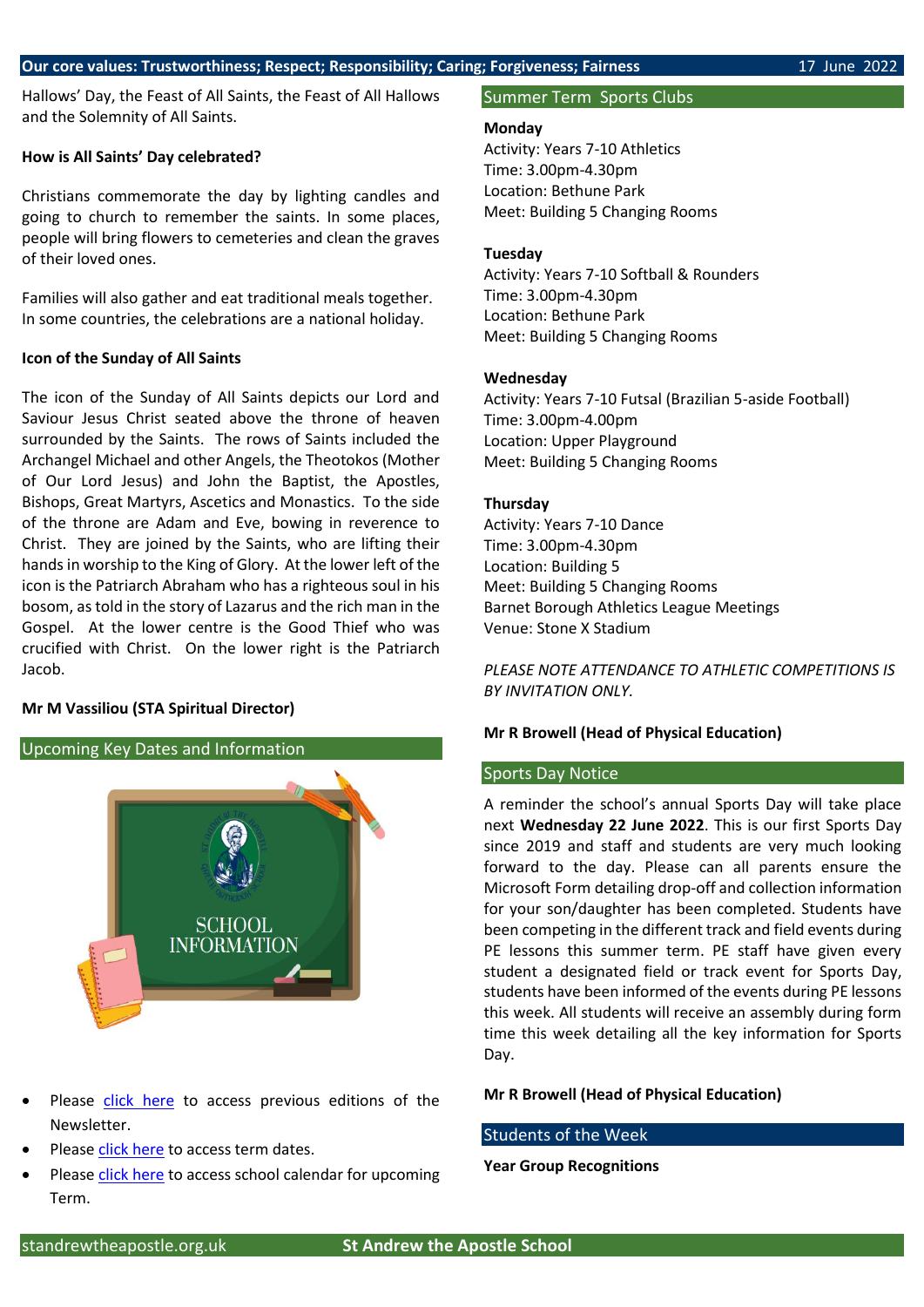Hallows' Day, the Feast of All Saints, the Feast of All Hallows and the Solemnity of All Saints.

#### **How is All Saints' Day celebrated?**

Christians commemorate the day by lighting candles and going to church to remember the saints. In some places, people will bring flowers to cemeteries and clean the graves of their loved ones.

Families will also gather and eat traditional meals together. In some countries, the celebrations are a national holiday.

#### **Icon of the Sunday of All Saints**

The icon of the Sunday of All Saints depicts our Lord and Saviour Jesus Christ seated above the throne of heaven surrounded by the Saints. The rows of Saints included the Archangel Michael and other Angels, the Theotokos (Mother of Our Lord Jesus) and John the Baptist, the Apostles, Bishops, Great Martyrs, Ascetics and Monastics. To the side of the throne are Adam and Eve, bowing in reverence to Christ. They are joined by the Saints, who are lifting their hands in worship to the King of Glory. At the lower left of the icon is the Patriarch Abraham who has a righteous soul in his bosom, as told in the story of Lazarus and the rich man in the Gospel. At the lower centre is the Good Thief who was crucified with Christ. On the lower right is the Patriarch Jacob.

#### **Mr M Vassiliou (STA Spiritual Director)**

#### Upcoming Key Dates and Information



- Please [click here](https://www.standrewtheapostle.org.uk/newsletters) to access previous editions of the Newsletter.
- Please [click here](https://www.standrewtheapostle.org.uk/term-dates) to access term dates.
- Please [click here](https://www.standrewtheapostle.org.uk/school-calendar) to access school calendar for upcoming Term.

#### Summer Term Sports Clubs

#### **Monday**

Activity: Years 7-10 Athletics Time: 3.00pm-4.30pm Location: Bethune Park Meet: Building 5 Changing Rooms

#### **Tuesday**

Activity: Years 7-10 Softball & Rounders Time: 3.00pm-4.30pm Location: Bethune Park Meet: Building 5 Changing Rooms

#### **Wednesday**

Activity: Years 7-10 Futsal (Brazilian 5-aside Football) Time: 3.00pm-4.00pm Location: Upper Playground Meet: Building 5 Changing Rooms

#### **Thursday**

Activity: Years 7-10 Dance Time: 3.00pm-4.30pm Location: Building 5 Meet: Building 5 Changing Rooms Barnet Borough Athletics League Meetings Venue: Stone X Stadium

*PLEASE NOTE ATTENDANCE TO ATHLETIC COMPETITIONS IS BY INVITATION ONLY.*

#### **Mr R Browell (Head of Physical Education)**

#### Sports Day Notice

A reminder the school's annual Sports Day will take place next **Wednesday 22 June 2022**. This is our first Sports Day since 2019 and staff and students are very much looking forward to the day. Please can all parents ensure the Microsoft Form detailing drop-off and collection information for your son/daughter has been completed. Students have been competing in the different track and field events during PE lessons this summer term. PE staff have given every student a designated field or track event for Sports Day, students have been informed of the events during PE lessons this week. All students will receive an assembly during form time this week detailing all the key information for Sports Day.

#### **Mr R Browell (Head of Physical Education)**

#### Students of the Week

#### **Year Group Recognitions**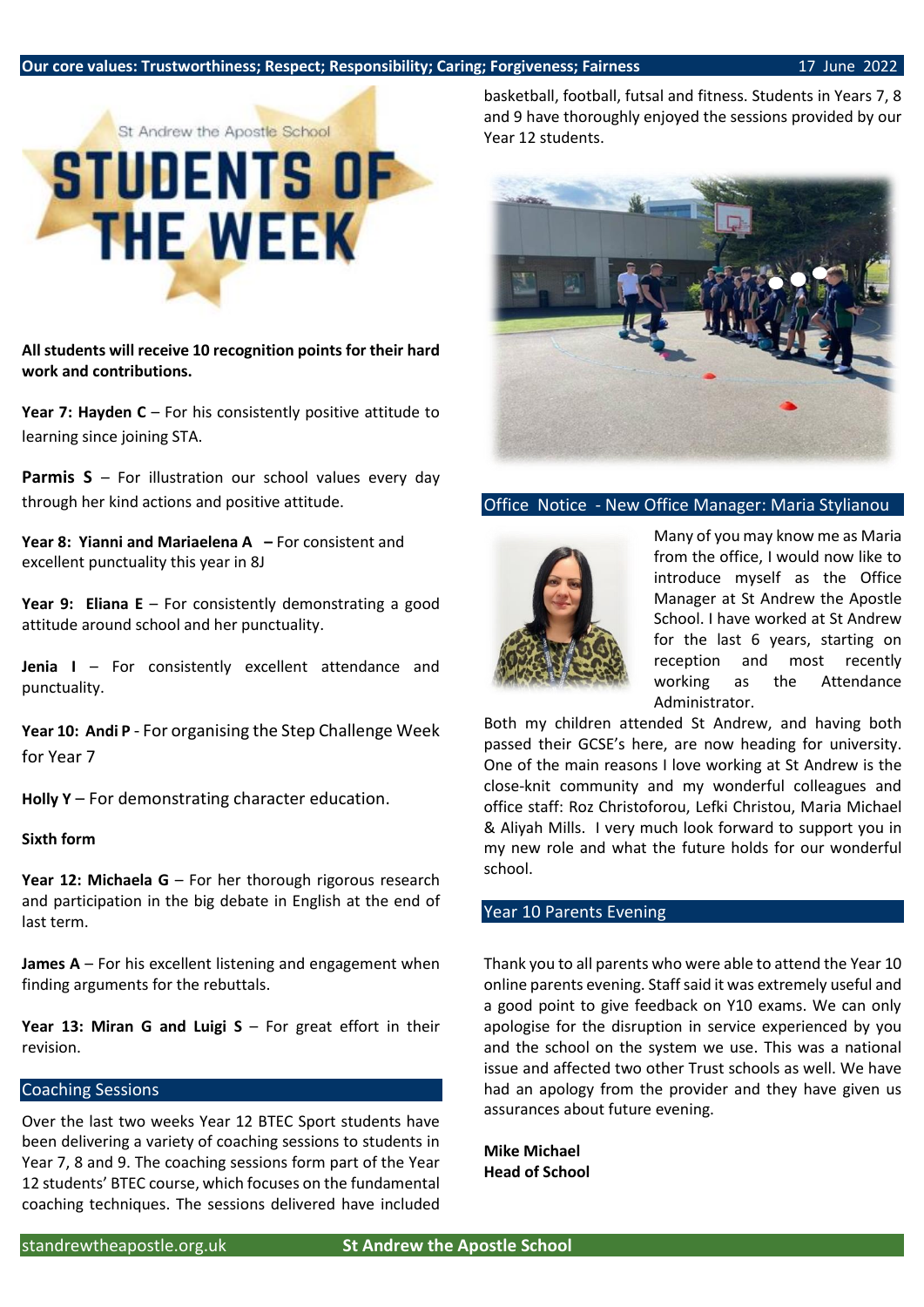

**All students will receive 10 recognition points for their hard work and contributions.**

**Year 7: Hayden C** – For his consistently positive attitude to learning since joining STA.

Parmis S – For illustration our school values every day through her kind actions and positive attitude.

**Year 8: Yianni and Mariaelena A –** For consistent and excellent punctuality this year in 8J

**Year 9: Eliana E** – For consistently demonstrating a good attitude around school and her punctuality.

**Jenia I** – For consistently excellent attendance and punctuality.

**Year 10: Andi P** - For organising the Step Challenge Week for Year 7

**Holly Y** – For demonstrating character education.

#### **Sixth form**

Year 12: Michaela G – For her thorough rigorous research and participation in the big debate in English at the end of last term.

**James A** – For his excellent listening and engagement when finding arguments for the rebuttals.

**Year 13: Miran G and Luigi S** – For great effort in their revision.

#### Coaching Sessions

Over the last two weeks Year 12 BTEC Sport students have been delivering a variety of coaching sessions to students in Year 7, 8 and 9. The coaching sessions form part of the Year 12 students' BTEC course, which focuses on the fundamental coaching techniques. The sessions delivered have included basketball, football, futsal and fitness. Students in Years 7, 8 and 9 have thoroughly enjoyed the sessions provided by our Year 12 students.



#### Office Notice - New Office Manager: Maria Stylianou



Many of you may know me as Maria from the office, I would now like to introduce myself as the Office Manager at St Andrew the Apostle School. I have worked at St Andrew for the last 6 years, starting on reception and most recently working as the Attendance Administrator.

Both my children attended St Andrew, and having both passed their GCSE's here, are now heading for university. One of the main reasons I love working at St Andrew is the close-knit community and my wonderful colleagues and office staff: Roz Christoforou, Lefki Christou, Maria Michael & Aliyah Mills. I very much look forward to support you in my new role and what the future holds for our wonderful school.

#### Year 10 Parents Evening

Thank you to all parents who were able to attend the Year 10 online parents evening. Staff said it was extremely useful and a good point to give feedback on Y10 exams. We can only apologise for the disruption in service experienced by you and the school on the system we use. This was a national issue and affected two other Trust schools as well. We have had an apology from the provider and they have given us assurances about future evening.

**Mike Michael Head of School**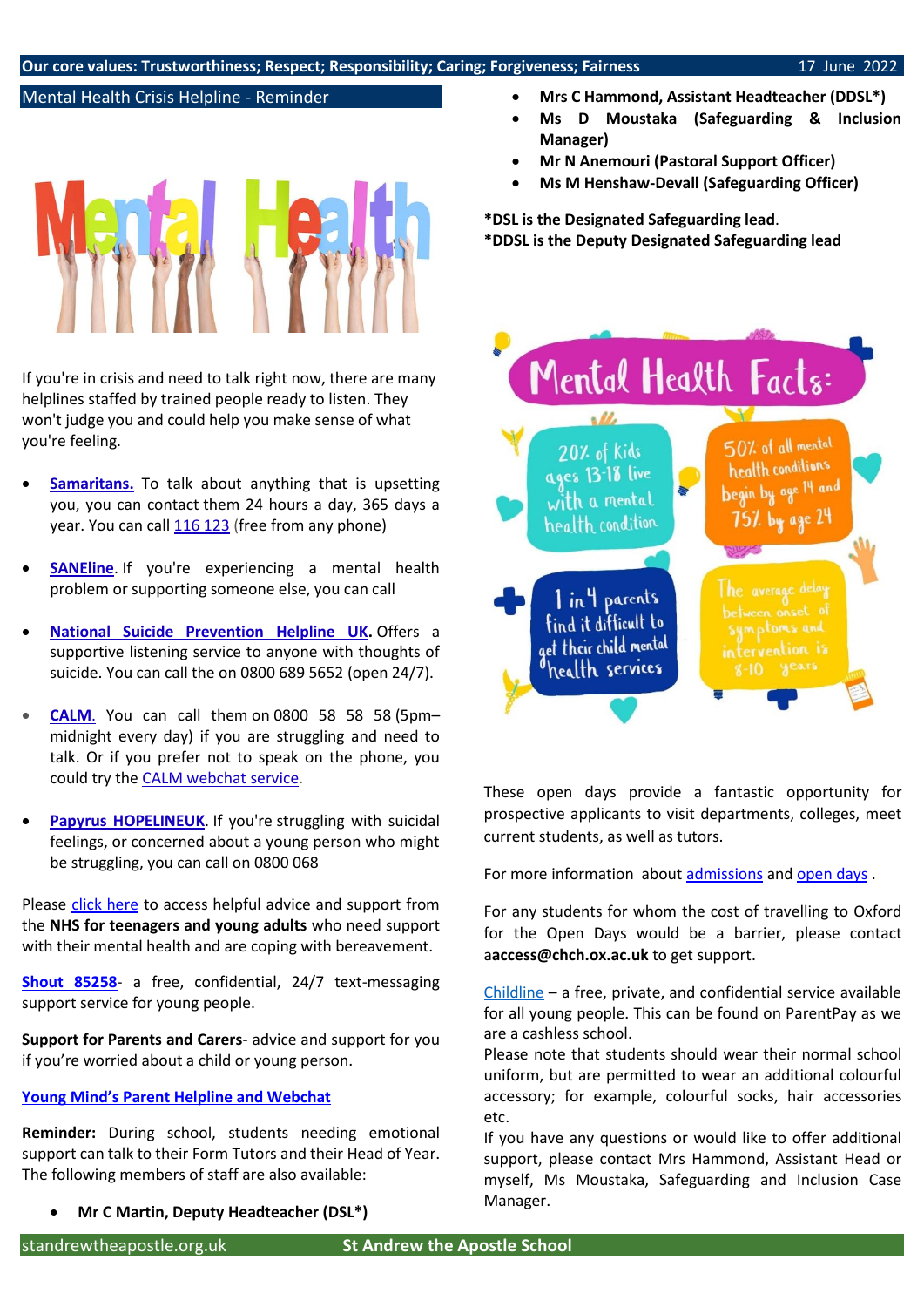#### Mental Health Crisis Helpline - Reminder



If you're in crisis and need to talk right now, there are many helplines staffed by trained people ready to listen. They won't judge you and could help you make sense of what you're feeling.

- **[Samaritans.](http://www.samaritans.org/)** To talk about anything that is upsetting you, you can contact them 24 hours a day, 365 days a year. You can call [116 123](tel:+44-116123) (free from any phone)
- **[SANEline](http://www.sane.org.uk/what_we_do/support/helpline)**. If you're experiencing a mental health problem or supporting someone else, you can call
- **[National Suicide Prevention Helpline UK.](https://www.spbristol.org/NSPHUK)** Offers a supportive listening service to anyone with thoughts of suicide. You can call the on 0800 689 5652 (open 24/7).
- **[CALM](https://www.thecalmzone.net/)**. You can call them on 0800 58 58 58 (5pm– midnight every day) if you are struggling and need to talk. Or if you prefer not to speak on the phone, you could try the [CALM webchat service.](https://www.thecalmzone.net/help/webchat/)
- [Papyrus HOPELINEUK](https://www.papyrus-uk.org/). If you're struggling with suicidal feelings, or concerned about a young person who might be struggling, you can call on 0800 068

Please [click here](https://www.nhs.uk/mental-health/children-and-young-adults/help-for-teenagers-young-adults-and-students/bereavement-and-young-people/) to access helpful advice and support from the **NHS for teenagers and young adults** who need support with their mental health and are coping with bereavement.

**[Shout 85258](https://giveusashout.org/)**- a free, confidential, 24/7 text-messaging support service for young people.

**Support for Parents and Carers**- advice and support for you if you're worried about a child or young person.

#### **[Young Mind's Parent Helpline and Webchat](https://www.youngminds.org.uk/parent/parents-helpline-and-webchat/)**

**Reminder:** During school, students needing emotional support can talk to their Form Tutors and their Head of Year. The following members of staff are also available:

• **Mr C Martin, Deputy Headteacher (DSL\*)**

- **Mrs C Hammond, Assistant Headteacher (DDSL\*)**
- **Ms D Moustaka (Safeguarding & Inclusion Manager)**
- **Mr N Anemouri (Pastoral Support Officer)**
- **Ms M Henshaw-Devall (Safeguarding Officer)**

**\*DSL is the Designated Safeguarding lead**. **\*DDSL is the Deputy Designated Safeguarding lead** 



These open days provide a fantastic opportunity for prospective applicants to visit departments, colleges, meet current students, as well as tutors.

For more information about [admissions](https://www.chch.ox.ac.uk/admissions/open-day-programme) an[d open days](https://www.chch.ox.ac.uk/admissions/open-days) .

For any students for whom the cost of travelling to Oxford for the Open Days would be a barrier, please contact a**access@chch.ox.ac.uk** to get support.

[Childline](https://www.childline.org.uk/about/about-childline/) – a free, private, and confidential service available for all young people. This can be found on ParentPay as we are a cashless school.

Please note that students should wear their normal school uniform, but are permitted to wear an additional colourful accessory; for example, colourful socks, hair accessories etc.

If you have any questions or would like to offer additional support, please contact Mrs Hammond, Assistant Head or myself, Ms Moustaka, Safeguarding and Inclusion Case Manager.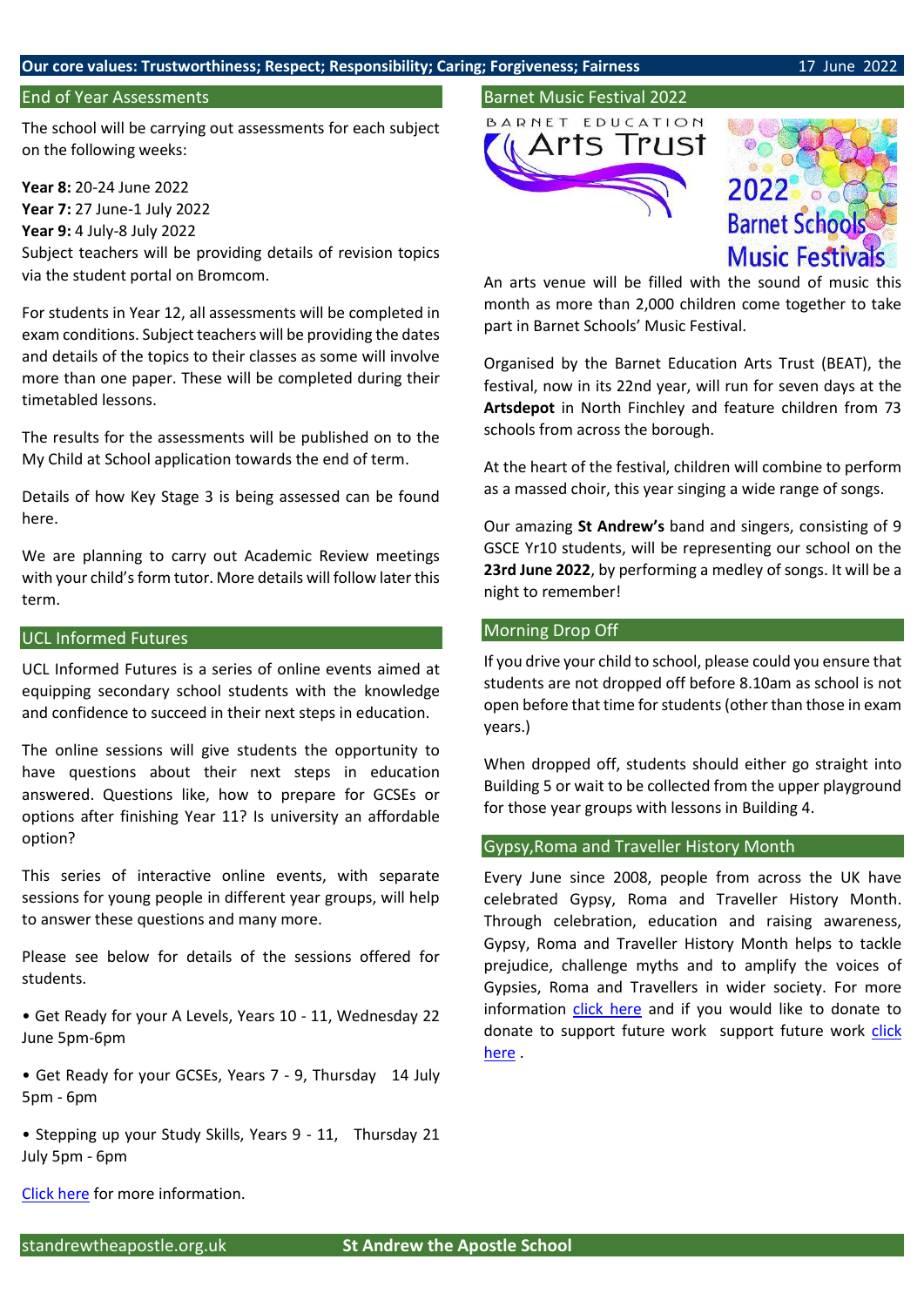#### **Our core values: Trustworthiness; Respect; Responsibility; Caring; Forgiveness; Fairness** 17 June 2022

#### End of Year Assessments

The school will be carrying out assessments for each subject on the following weeks:

**Year 8:** 20-24 June 2022 **Year 7:** 27 June-1 July 2022 **Year 9:** 4 July-8 July 2022 Subject teachers will be providing details of revision topics via the student portal on Bromcom.

For students in Year 12, all assessments will be completed in exam conditions. Subject teachers will be providing the dates and details of the topics to their classes as some will involve more than one paper. These will be completed during their timetabled lessons.

The results for the assessments will be published on to the My Child at School application towards the end of term.

Details of how Key Stage 3 is being assessed can be found here.

We are planning to carry out Academic Review meetings with your child's form tutor. More details will follow later this term.

#### UCL Informed Futures

UCL Informed Futures is a series of online events aimed at equipping secondary school students with the knowledge and confidence to succeed in their next steps in education.

The online sessions will give students the opportunity to have questions about their next steps in education answered. Questions like, how to prepare for GCSEs or options after finishing Year 11? Is university an affordable option?

This series of interactive online events, with separate sessions for young people in different year groups, will help to answer these questions and many more.

Please see below for details of the sessions offered for students.

• Get Ready for your A Levels, Years 10 - 11, Wednesday 22 June 5pm-6pm

• Get Ready for your GCSEs, Years 7 - 9, Thursday 14 July 5pm - 6pm

• Stepping up your Study Skills, Years 9 - 11, Thursday 21 July 5pm - 6pm

[Click](https://www.ucl.ac.uk/widening-participation/learners/secondary/ucl-informed-futures) here for more information.

#### Barnet Music Festival 2022



2022 **Barnet Schools Music Festivals** 

An arts venue will be filled with the sound of music this month as more than 2,000 children come together to take part in Barnet Schools' Music Festival.

Organised by the Barnet Education Arts Trust (BEAT), the festival, now in its 22nd year, will run for seven days at the **Artsdepot** in North Finchley and feature children from 73 schools from across the borough.

At the heart of the festival, children will combine to perform as a massed choir, this year singing a wide range of songs.

Our amazing **St Andrew's** band and singers, consisting of 9 GSCE Yr10 students, will be representing our school on the **23rd June 2022**, by performing a medley of songs. It will be a night to remember!

#### Morning Drop Off

If you drive your child to school, please could you ensure that students are not dropped off before 8.10am as school is not open before that time for students (other than those in exam years.)

When dropped off, students should either go straight into Building 5 or wait to be collected from the upper playground for those year groups with lessons in Building 4.

#### Gypsy,Roma and Traveller History Month

Every June since 2008, people from across the UK have celebrated Gypsy, Roma and Traveller History Month. Through celebration, education and raising awareness, Gypsy, Roma and Traveller History Month helps to tackle prejudice, challenge myths and to amplify the voices of Gypsies, Roma and Travellers in wider society. For more information [click here](https://www.gypsy-traveller.org/heritage/gypsy-roma-and-traveller-history-month-2022/) and if you would like to donate to donate to support future work support future work [click](https://action.gypsy-traveller.org/page/79988/donate/1?ea.tracking.id=GRTHM22)  [here](https://action.gypsy-traveller.org/page/79988/donate/1?ea.tracking.id=GRTHM22) .